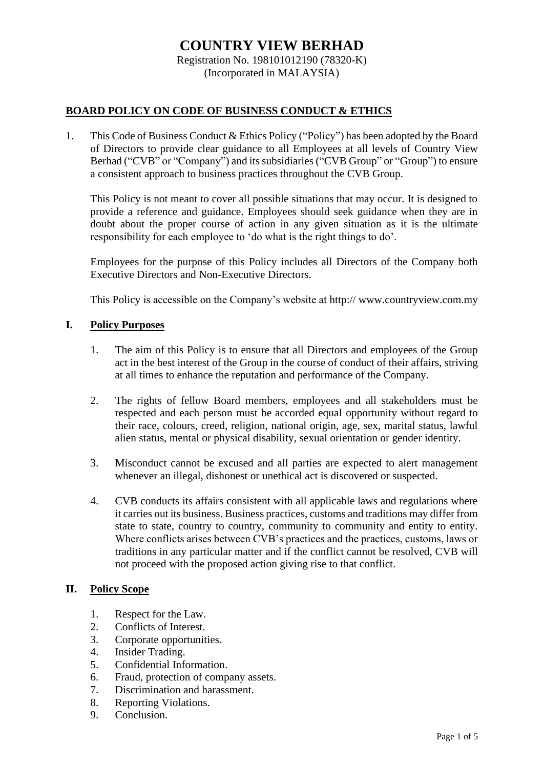# **COUNTRY VIEW BERHAD** Registration No. 198101012190 (78320-K)

(Incorporated in MALAYSIA)

## **BOARD POLICY ON CODE OF BUSINESS CONDUCT & ETHICS**

1. This Code of Business Conduct & Ethics Policy ("Policy") has been adopted by the Board of Directors to provide clear guidance to all Employees at all levels of Country View Berhad ("CVB" or "Company") and its subsidiaries ("CVB Group" or "Group") to ensure a consistent approach to business practices throughout the CVB Group.

This Policy is not meant to cover all possible situations that may occur. It is designed to provide a reference and guidance. Employees should seek guidance when they are in doubt about the proper course of action in any given situation as it is the ultimate responsibility for each employee to 'do what is the right things to do'.

Employees for the purpose of this Policy includes all Directors of the Company both Executive Directors and Non-Executive Directors.

This Policy is accessible on the Company's website at http:// [www.countryview.com.my](http://www.emaskiara.com/)

## **I. Policy Purposes**

- 1. The aim of this Policy is to ensure that all Directors and employees of the Group act in the best interest of the Group in the course of conduct of their affairs, striving at all times to enhance the reputation and performance of the Company.
- 2. The rights of fellow Board members, employees and all stakeholders must be respected and each person must be accorded equal opportunity without regard to their race, colours, creed, religion, national origin, age, sex, marital status, lawful alien status, mental or physical disability, sexual orientation or gender identity.
- 3. Misconduct cannot be excused and all parties are expected to alert management whenever an illegal, dishonest or unethical act is discovered or suspected.
- 4. CVB conducts its affairs consistent with all applicable laws and regulations where it carries out its business. Business practices, customs and traditions may differ from state to state, country to country, community to community and entity to entity. Where conflicts arises between CVB's practices and the practices, customs, laws or traditions in any particular matter and if the conflict cannot be resolved, CVB will not proceed with the proposed action giving rise to that conflict.

## **II. Policy Scope**

- 1. Respect for the Law.
- 2. Conflicts of Interest.
- 3. Corporate opportunities.
- 
- 4. Insider Trading.<br>5. Confidential Info 5. Confidential Information.
- 6. Fraud, protection of company assets.
- 7. Discrimination and harassment.
- 8. Reporting Violations.
- 9. Conclusion.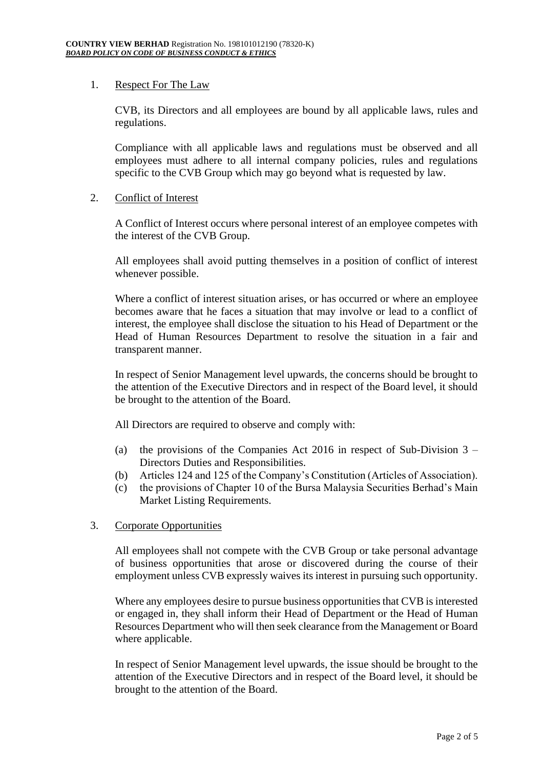# 1. Respect For The Law

CVB, its Directors and all employees are bound by all applicable laws, rules and regulations.

Compliance with all applicable laws and regulations must be observed and all employees must adhere to all internal company policies, rules and regulations specific to the CVB Group which may go beyond what is requested by law.

# 2. Conflict of Interest

A Conflict of Interest occurs where personal interest of an employee competes with the interest of the CVB Group.

All employees shall avoid putting themselves in a position of conflict of interest whenever possible.

Where a conflict of interest situation arises, or has occurred or where an employee becomes aware that he faces a situation that may involve or lead to a conflict of interest, the employee shall disclose the situation to his Head of Department or the Head of Human Resources Department to resolve the situation in a fair and transparent manner.

In respect of Senior Management level upwards, the concerns should be brought to the attention of the Executive Directors and in respect of the Board level, it should be brought to the attention of the Board.

All Directors are required to observe and comply with:

- (a) the provisions of the Companies Act 2016 in respect of Sub-Division  $3 -$ Directors Duties and Responsibilities.
- (b) Articles 124 and 125 of the Company's Constitution (Articles of Association).
- (c) the provisions of Chapter 10 of the Bursa Malaysia Securities Berhad's Main Market Listing Requirements.

# 3. Corporate Opportunities

All employees shall not compete with the CVB Group or take personal advantage of business opportunities that arose or discovered during the course of their employment unless CVB expressly waives its interest in pursuing such opportunity.

Where any employees desire to pursue business opportunities that CVB is interested or engaged in, they shall inform their Head of Department or the Head of Human Resources Department who will then seek clearance from the Management or Board where applicable.

In respect of Senior Management level upwards, the issue should be brought to the attention of the Executive Directors and in respect of the Board level, it should be brought to the attention of the Board.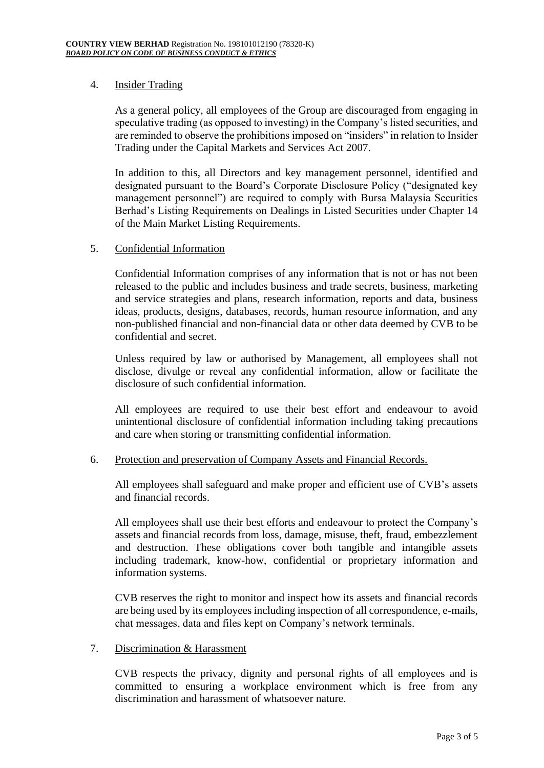# 4. Insider Trading

As a general policy, all employees of the Group are discouraged from engaging in speculative trading (as opposed to investing) in the Company's listed securities, and are reminded to observe the prohibitions imposed on "insiders" in relation to Insider Trading under the Capital Markets and Services Act 2007.

In addition to this, all Directors and key management personnel, identified and designated pursuant to the Board's Corporate Disclosure Policy ("designated key management personnel") are required to comply with Bursa Malaysia Securities Berhad's Listing Requirements on Dealings in Listed Securities under Chapter 14 of the Main Market Listing Requirements.

## 5. Confidential Information

Confidential Information comprises of any information that is not or has not been released to the public and includes business and trade secrets, business, marketing and service strategies and plans, research information, reports and data, business ideas, products, designs, databases, records, human resource information, and any non-published financial and non-financial data or other data deemed by CVB to be confidential and secret.

Unless required by law or authorised by Management, all employees shall not disclose, divulge or reveal any confidential information, allow or facilitate the disclosure of such confidential information.

All employees are required to use their best effort and endeavour to avoid unintentional disclosure of confidential information including taking precautions and care when storing or transmitting confidential information.

## 6. Protection and preservation of Company Assets and Financial Records.

All employees shall safeguard and make proper and efficient use of CVB's assets and financial records.

All employees shall use their best efforts and endeavour to protect the Company's assets and financial records from loss, damage, misuse, theft, fraud, embezzlement and destruction. These obligations cover both tangible and intangible assets including trademark, know-how, confidential or proprietary information and information systems.

CVB reserves the right to monitor and inspect how its assets and financial records are being used by its employees including inspection of all correspondence, e-mails, chat messages, data and files kept on Company's network terminals.

## 7. Discrimination & Harassment

CVB respects the privacy, dignity and personal rights of all employees and is committed to ensuring a workplace environment which is free from any discrimination and harassment of whatsoever nature.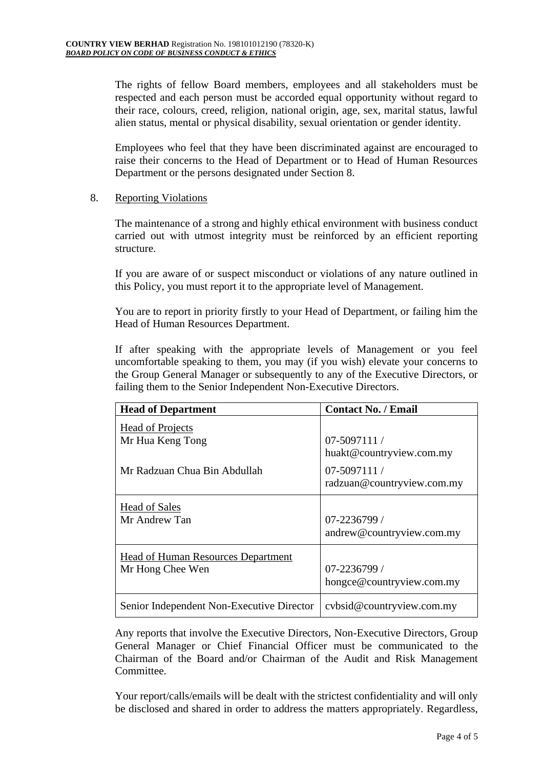The rights of fellow Board members, employees and all stakeholders must be respected and each person must be accorded equal opportunity without regard to their race, colours, creed, religion, national origin, age, sex, marital status, lawful alien status, mental or physical disability, sexual orientation or gender identity.

Employees who feel that they have been discriminated against are encouraged to raise their concerns to the Head of Department or to Head of Human Resources Department or the persons designated under Section 8.

# 8. Reporting Violations

The maintenance of a strong and highly ethical environment with business conduct carried out with utmost integrity must be reinforced by an efficient reporting structure.

If you are aware of or suspect misconduct or violations of any nature outlined in this Policy, you must report it to the appropriate level of Management.

You are to report in priority firstly to your Head of Department, or failing him the Head of Human Resources Department.

If after speaking with the appropriate levels of Management or you feel uncomfortable speaking to them, you may (if you wish) elevate your concerns to the Group General Manager or subsequently to any of the Executive Directors, or failing them to the Senior Independent Non-Executive Directors.

| <b>Head of Department</b>                 | <b>Contact No. / Email</b>                  |
|-------------------------------------------|---------------------------------------------|
| <b>Head of Projects</b>                   | $07-5097111/$                               |
| Mr Hua Keng Tong                          | huakt@countryview.com.my                    |
| Mr Radzuan Chua Bin Abdullah              | $07-5097111/$<br>radzuan@countryview.com.my |
| <b>Head of Sales</b>                      | $07 - 2236799$ /                            |
| Mr Andrew Tan                             | andrew@countryview.com.my                   |
| <b>Head of Human Resources Department</b> | $07 - 2236799$ /                            |
| Mr Hong Chee Wen                          | hongce@countryview.com.my                   |
| Senior Independent Non-Executive Director | cybsid@countryview.com.my                   |

Any reports that involve the Executive Directors, Non-Executive Directors, Group General Manager or Chief Financial Officer must be communicated to the Chairman of the Board and/or Chairman of the Audit and Risk Management Committee.

Your report/calls/emails will be dealt with the strictest confidentiality and will only be disclosed and shared in order to address the matters appropriately. Regardless,